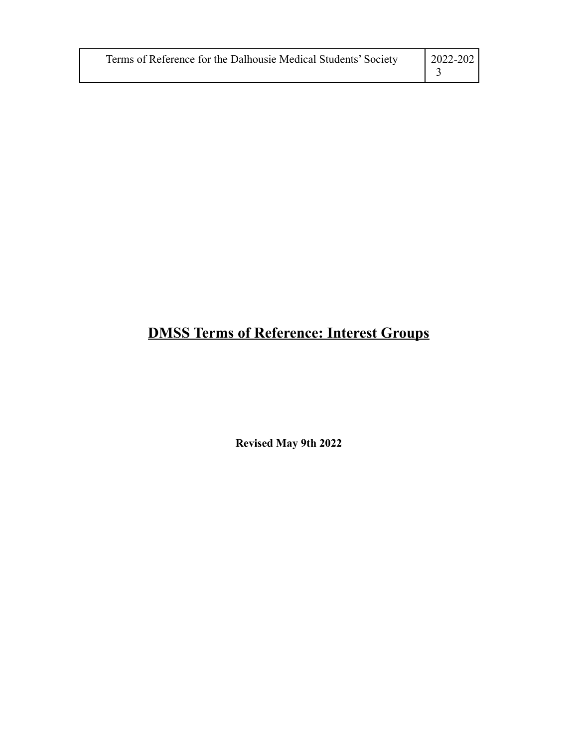| Terms of Reference for the Dalhousie Medical Students' Society | 2022-202 |
|----------------------------------------------------------------|----------|
|----------------------------------------------------------------|----------|

# **DMSS Terms of Reference: Interest Groups**

**Revised May 9th 2022**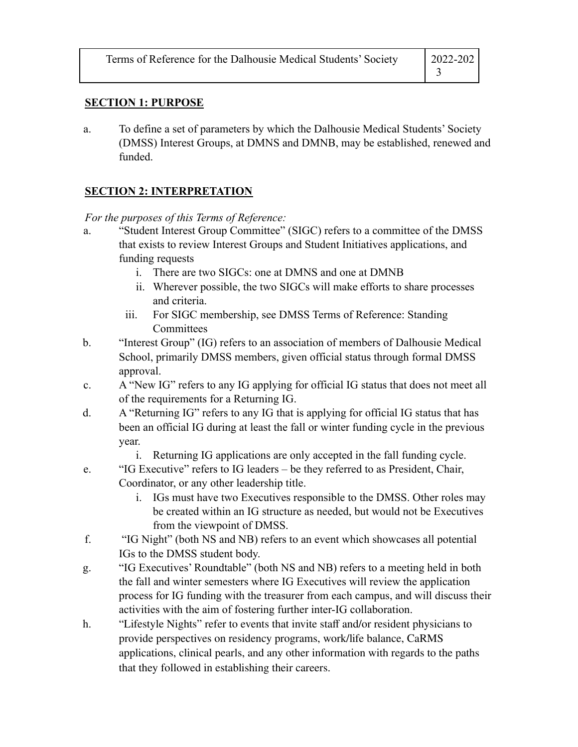| Terms of Reference for the Dalhousie Medical Students' Society | 2022-202 |
|----------------------------------------------------------------|----------|
|                                                                |          |

#### **SECTION 1: PURPOSE**

a. To define a set of parameters by which the Dalhousie Medical Students' Society (DMSS) Interest Groups, at DMNS and DMNB, may be established, renewed and funded.

## **SECTION 2: INTERPRETATION**

*For the purposes of this Terms of Reference:*

- a. "Student Interest Group Committee" (SIGC) refers to a committee of the DMSS that exists to review Interest Groups and Student Initiatives applications, and funding requests
	- i. There are two SIGCs: one at DMNS and one at DMNB
	- ii. Wherever possible, the two SIGCs will make efforts to share processes and criteria.
	- iii. For SIGC membership, see DMSS Terms of Reference: Standing **Committees**
- b. "Interest Group" (IG) refers to an association of members of Dalhousie Medical School, primarily DMSS members, given official status through formal DMSS approval.
- c. A "New IG" refers to any IG applying for official IG status that does not meet all of the requirements for a Returning IG.
- d. A "Returning IG" refers to any IG that is applying for official IG status that has been an official IG during at least the fall or winter funding cycle in the previous year.
	- i. Returning IG applications are only accepted in the fall funding cycle.
- e. "IG Executive" refers to IG leaders be they referred to as President, Chair, Coordinator, or any other leadership title.
	- i. IGs must have two Executives responsible to the DMSS. Other roles may be created within an IG structure as needed, but would not be Executives from the viewpoint of DMSS.
- f. "IG Night" (both NS and NB) refers to an event which showcases all potential IGs to the DMSS student body.
- g. "IG Executives' Roundtable" (both NS and NB) refers to a meeting held in both the fall and winter semesters where IG Executives will review the application process for IG funding with the treasurer from each campus, and will discuss their activities with the aim of fostering further inter-IG collaboration.
- h. "Lifestyle Nights" refer to events that invite staff and/or resident physicians to provide perspectives on residency programs, work/life balance, CaRMS applications, clinical pearls, and any other information with regards to the paths that they followed in establishing their careers.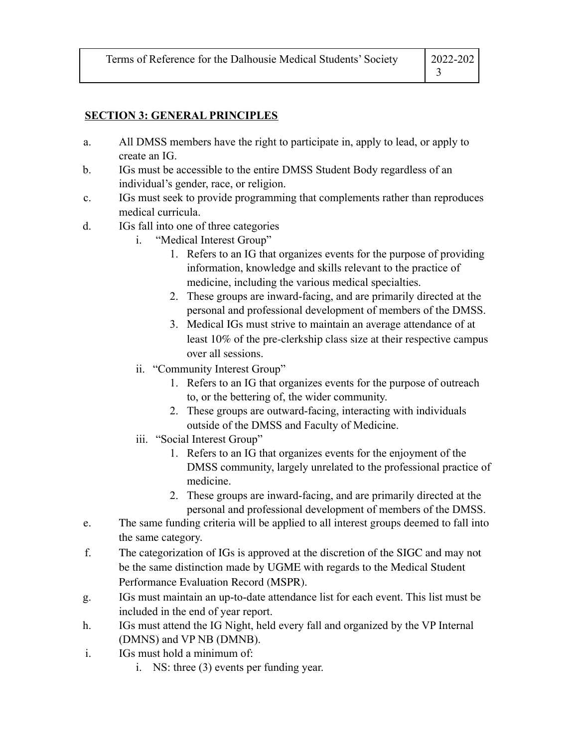| Terms of Reference for the Dalhousie Medical Students' Society | $ 2022 - 202 $ |
|----------------------------------------------------------------|----------------|
|                                                                |                |

#### **SECTION 3: GENERAL PRINCIPLES**

- a. All DMSS members have the right to participate in, apply to lead, or apply to create an IG.
- b. IGs must be accessible to the entire DMSS Student Body regardless of an individual's gender, race, or religion.
- c. IGs must seek to provide programming that complements rather than reproduces medical curricula.
- d. IGs fall into one of three categories
	- i. "Medical Interest Group"
		- 1. Refers to an IG that organizes events for the purpose of providing information, knowledge and skills relevant to the practice of medicine, including the various medical specialties.
		- 2. These groups are inward-facing, and are primarily directed at the personal and professional development of members of the DMSS.
		- 3. Medical IGs must strive to maintain an average attendance of at least 10% of the pre-clerkship class size at their respective campus over all sessions.
	- ii. "Community Interest Group"
		- 1. Refers to an IG that organizes events for the purpose of outreach to, or the bettering of, the wider community.
		- 2. These groups are outward-facing, interacting with individuals outside of the DMSS and Faculty of Medicine.
	- iii. "Social Interest Group"
		- 1. Refers to an IG that organizes events for the enjoyment of the DMSS community, largely unrelated to the professional practice of medicine.
		- 2. These groups are inward-facing, and are primarily directed at the personal and professional development of members of the DMSS.
- e. The same funding criteria will be applied to all interest groups deemed to fall into the same category.
- f. The categorization of IGs is approved at the discretion of the SIGC and may not be the same distinction made by UGME with regards to the Medical Student Performance Evaluation Record (MSPR).
- g. IGs must maintain an up-to-date attendance list for each event. This list must be included in the end of year report.
- h. IGs must attend the IG Night, held every fall and organized by the VP Internal (DMNS) and VP NB (DMNB).
- i. IGs must hold a minimum of:
	- i. NS: three (3) events per funding year.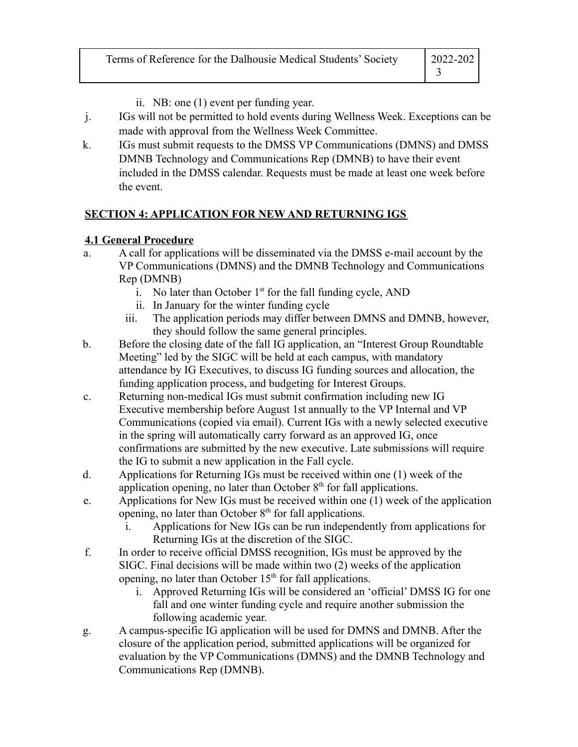| Terms of Reference for the Dalhousie Medical Students' Society | $ 2022 - 202 $ |
|----------------------------------------------------------------|----------------|
|                                                                |                |

- ii. NB: one (1) event per funding year.
- j. IGs will not be permitted to hold events during Wellness Week. Exceptions can be made with approval from the Wellness Week Committee.
- k. IGs must submit requests to the DMSS VP Communications (DMNS) and DMSS DMNB Technology and Communications Rep (DMNB) to have their event included in the DMSS calendar. Requests must be made at least one week before the event.

# **SECTION 4: APPLICATION FOR NEW AND RETURNING IGS**

# **4.1 General Procedure**

- a. A call for applications will be disseminated via the DMSS e-mail account by the VP Communications (DMNS) and the DMNB Technology and Communications Rep (DMNB)
	- i. No later than October  $1<sup>st</sup>$  for the fall funding cycle, AND
	- ii. In January for the winter funding cycle
	- iii. The application periods may differ between DMNS and DMNB, however, they should follow the same general principles.
- b. Before the closing date of the fall IG application, an "Interest Group Roundtable Meeting" led by the SIGC will be held at each campus, with mandatory attendance by IG Executives, to discuss IG funding sources and allocation, the funding application process, and budgeting for Interest Groups.
- c. Returning non-medical IGs must submit confirmation including new IG Executive membership before August 1st annually to the VP Internal and VP Communications (copied via email). Current IGs with a newly selected executive in the spring will automatically carry forward as an approved IG, once confirmations are submitted by the new executive. Late submissions will require the IG to submit a new application in the Fall cycle.
- d. Applications for Returning IGs must be received within one (1) week of the application opening, no later than October  $8<sup>th</sup>$  for fall applications.
- e. Applications for New IGs must be received within one (1) week of the application opening, no later than October  $8<sup>th</sup>$  for fall applications.
	- Applications for New IGs can be run independently from applications for Returning IGs at the discretion of the SIGC.
- f. In order to receive official DMSS recognition, IGs must be approved by the SIGC. Final decisions will be made within two (2) weeks of the application opening, no later than October  $15<sup>th</sup>$  for fall applications.
	- i. Approved Returning IGs will be considered an 'official' DMSS IG for one fall and one winter funding cycle and require another submission the following academic year.
- g. A campus-specific IG application will be used for DMNS and DMNB. After the closure of the application period, submitted applications will be organized for evaluation by the VP Communications (DMNS) and the DMNB Technology and Communications Rep (DMNB).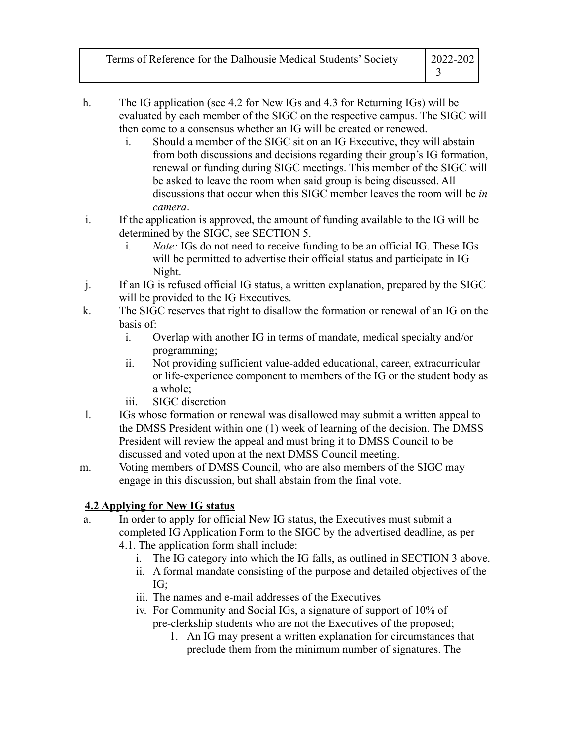| Terms of Reference for the Dalhousie Medical Students' Society | 2022-202 |
|----------------------------------------------------------------|----------|
|                                                                |          |

- h. The IG application (see 4.2 for New IGs and 4.3 for Returning IGs) will be evaluated by each member of the SIGC on the respective campus. The SIGC will then come to a consensus whether an IG will be created or renewed.
	- i. Should a member of the SIGC sit on an IG Executive, they will abstain from both discussions and decisions regarding their group's IG formation, renewal or funding during SIGC meetings. This member of the SIGC will be asked to leave the room when said group is being discussed. All discussions that occur when this SIGC member leaves the room will be *in camera*.
- i. If the application is approved, the amount of funding available to the IG will be determined by the SIGC, see SECTION 5.
	- i. *Note:* IGs do not need to receive funding to be an official IG. These IGs will be permitted to advertise their official status and participate in IG Night.
- j. If an IG is refused official IG status, a written explanation, prepared by the SIGC will be provided to the IG Executives.
- k. The SIGC reserves that right to disallow the formation or renewal of an IG on the basis of:
	- i. Overlap with another IG in terms of mandate, medical specialty and/or programming;
	- ii. Not providing sufficient value-added educational, career, extracurricular or life-experience component to members of the IG or the student body as a whole;
	- iii. SIGC discretion
- l. IGs whose formation or renewal was disallowed may submit a written appeal to the DMSS President within one (1) week of learning of the decision. The DMSS President will review the appeal and must bring it to DMSS Council to be discussed and voted upon at the next DMSS Council meeting.
- m. Voting members of DMSS Council, who are also members of the SIGC may engage in this discussion, but shall abstain from the final vote.

# **4.2 Applying for New IG status**

- a. In order to apply for official New IG status, the Executives must submit a completed IG Application Form to the SIGC by the advertised deadline, as per 4.1. The application form shall include:
	- i. The IG category into which the IG falls, as outlined in SECTION 3 above.
	- ii. A formal mandate consisting of the purpose and detailed objectives of the IG;
	- iii. The names and e-mail addresses of the Executives
	- iv. For Community and Social IGs, a signature of support of 10% of pre-clerkship students who are not the Executives of the proposed;
		- 1. An IG may present a written explanation for circumstances that preclude them from the minimum number of signatures. The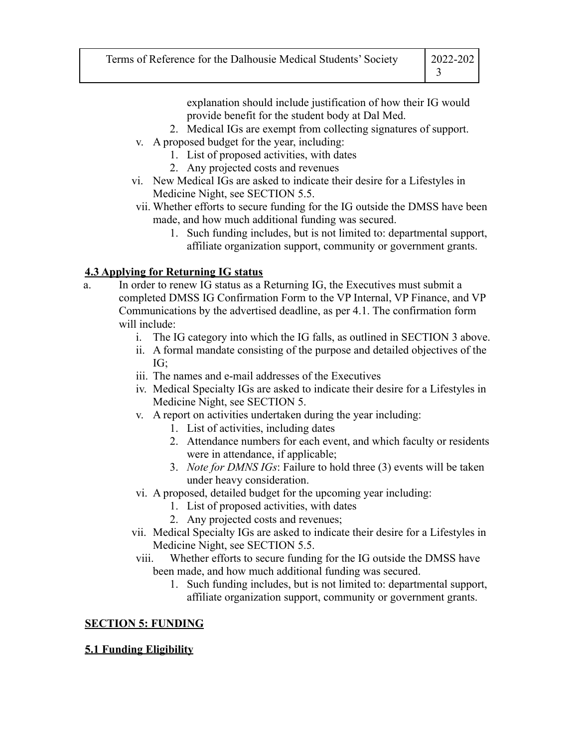| Terms of Reference for the Dalhousie Medical Students' Society | 2022-202 |
|----------------------------------------------------------------|----------|
|                                                                |          |

explanation should include justification of how their IG would provide benefit for the student body at Dal Med.

- 2. Medical IGs are exempt from collecting signatures of support.
- v. A proposed budget for the year, including:
	- 1. List of proposed activities, with dates
	- 2. Any projected costs and revenues
- vi. New Medical IGs are asked to indicate their desire for a Lifestyles in Medicine Night, see SECTION 5.5.
- vii. Whether efforts to secure funding for the IG outside the DMSS have been made, and how much additional funding was secured.
	- 1. Such funding includes, but is not limited to: departmental support, affiliate organization support, community or government grants.

### **4.3 Applying for Returning IG status**

- a. In order to renew IG status as a Returning IG, the Executives must submit a completed DMSS IG Confirmation Form to the VP Internal, VP Finance, and VP Communications by the advertised deadline, as per 4.1. The confirmation form will include:
	- i. The IG category into which the IG falls, as outlined in SECTION 3 above.
	- ii. A formal mandate consisting of the purpose and detailed objectives of the IG;
	- iii. The names and e-mail addresses of the Executives
	- iv. Medical Specialty IGs are asked to indicate their desire for a Lifestyles in Medicine Night, see SECTION 5.
	- v. A report on activities undertaken during the year including:
		- 1. List of activities, including dates
		- 2. Attendance numbers for each event, and which faculty or residents were in attendance, if applicable;
		- 3. *Note for DMNS IGs*: Failure to hold three (3) events will be taken under heavy consideration.
	- vi. A proposed, detailed budget for the upcoming year including:
		- 1. List of proposed activities, with dates
		- 2. Any projected costs and revenues;
	- vii. Medical Specialty IGs are asked to indicate their desire for a Lifestyles in Medicine Night, see SECTION 5.5.
	- viii. Whether efforts to secure funding for the IG outside the DMSS have been made, and how much additional funding was secured.
		- 1. Such funding includes, but is not limited to: departmental support, affiliate organization support, community or government grants.

### **SECTION 5: FUNDING**

### **5.1 Funding Eligibility**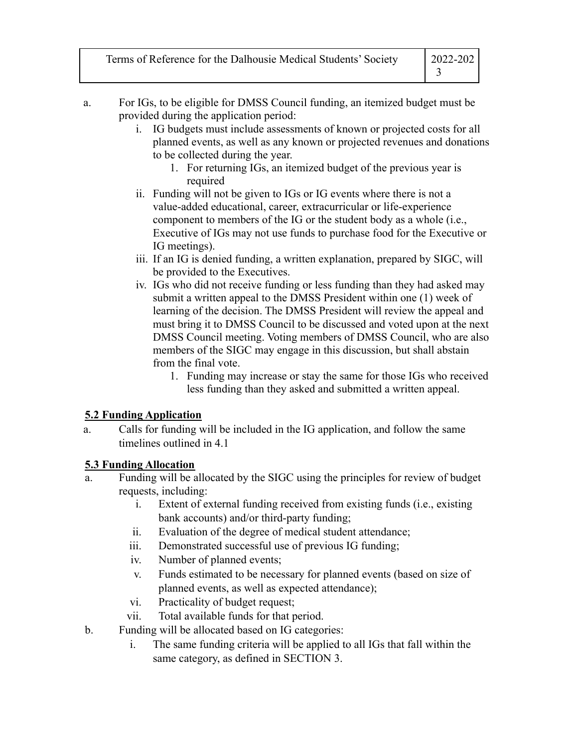| Terms of Reference for the Dalhousie Medical Students' Society | 2022-202 |
|----------------------------------------------------------------|----------|
|                                                                |          |

- a. For IGs, to be eligible for DMSS Council funding, an itemized budget must be provided during the application period:
	- i. IG budgets must include assessments of known or projected costs for all planned events, as well as any known or projected revenues and donations to be collected during the year.
		- 1. For returning IGs, an itemized budget of the previous year is required
	- ii. Funding will not be given to IGs or IG events where there is not a value-added educational, career, extracurricular or life-experience component to members of the IG or the student body as a whole (i.e., Executive of IGs may not use funds to purchase food for the Executive or IG meetings).
	- iii. If an IG is denied funding, a written explanation, prepared by SIGC, will be provided to the Executives.
	- iv. IGs who did not receive funding or less funding than they had asked may submit a written appeal to the DMSS President within one (1) week of learning of the decision. The DMSS President will review the appeal and must bring it to DMSS Council to be discussed and voted upon at the next DMSS Council meeting. Voting members of DMSS Council, who are also members of the SIGC may engage in this discussion, but shall abstain from the final vote.
		- 1. Funding may increase or stay the same for those IGs who received less funding than they asked and submitted a written appeal.

### **5.2 Funding Application**

a. Calls for funding will be included in the IG application, and follow the same timelines outlined in 4.1

# **5.3 Funding Allocation**

- a. Funding will be allocated by the SIGC using the principles for review of budget requests, including:
	- i. Extent of external funding received from existing funds (i.e., existing bank accounts) and/or third-party funding;
	- ii. Evaluation of the degree of medical student attendance;
	- iii. Demonstrated successful use of previous IG funding;
	- iv. Number of planned events;
	- v. Funds estimated to be necessary for planned events (based on size of planned events, as well as expected attendance);
	- vi. Practicality of budget request;
	- vii. Total available funds for that period.
- b. Funding will be allocated based on IG categories:
	- i. The same funding criteria will be applied to all IGs that fall within the same category, as defined in SECTION 3.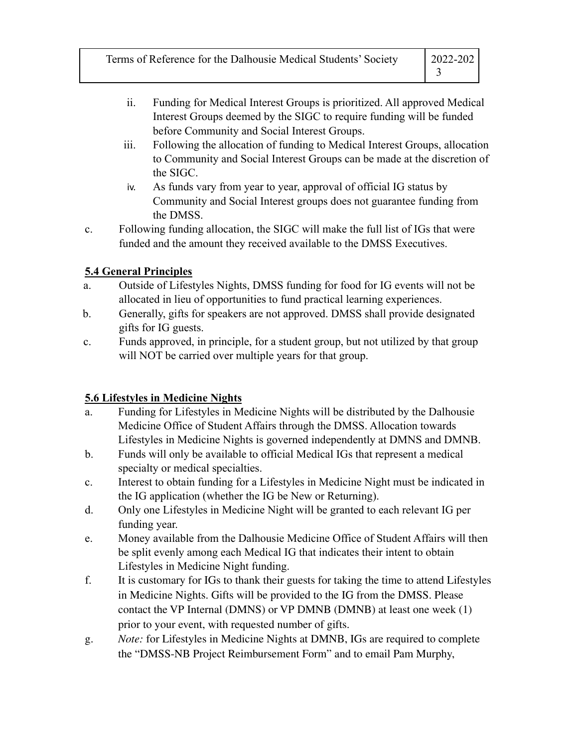| Terms of Reference for the Dalhousie Medical Students' Society | $ 2022-202 $ |
|----------------------------------------------------------------|--------------|
|                                                                |              |

- ii. Funding for Medical Interest Groups is prioritized. All approved Medical Interest Groups deemed by the SIGC to require funding will be funded before Community and Social Interest Groups.
- iii. Following the allocation of funding to Medical Interest Groups, allocation to Community and Social Interest Groups can be made at the discretion of the SIGC.
- iv. As funds vary from year to year, approval of official IG status by Community and Social Interest groups does not guarantee funding from the DMSS.
- c. Following funding allocation, the SIGC will make the full list of IGs that were funded and the amount they received available to the DMSS Executives.

## **5.4 General Principles**

- a. Outside of Lifestyles Nights, DMSS funding for food for IG events will not be allocated in lieu of opportunities to fund practical learning experiences.
- b. Generally, gifts for speakers are not approved. DMSS shall provide designated gifts for IG guests.
- c. Funds approved, in principle, for a student group, but not utilized by that group will NOT be carried over multiple years for that group.

# **5.6 Lifestyles in Medicine Nights**

- a. Funding for Lifestyles in Medicine Nights will be distributed by the Dalhousie Medicine Office of Student Affairs through the DMSS. Allocation towards Lifestyles in Medicine Nights is governed independently at DMNS and DMNB.
- b. Funds will only be available to official Medical IGs that represent a medical specialty or medical specialties.
- c. Interest to obtain funding for a Lifestyles in Medicine Night must be indicated in the IG application (whether the IG be New or Returning).
- d. Only one Lifestyles in Medicine Night will be granted to each relevant IG per funding year.
- e. Money available from the Dalhousie Medicine Office of Student Affairs will then be split evenly among each Medical IG that indicates their intent to obtain Lifestyles in Medicine Night funding.
- f. It is customary for IGs to thank their guests for taking the time to attend Lifestyles in Medicine Nights. Gifts will be provided to the IG from the DMSS. Please contact the VP Internal (DMNS) or VP DMNB (DMNB) at least one week (1) prior to your event, with requested number of gifts.
- g. *Note:* for Lifestyles in Medicine Nights at DMNB, IGs are required to complete the "DMSS-NB Project Reimbursement Form" and to email Pam Murphy,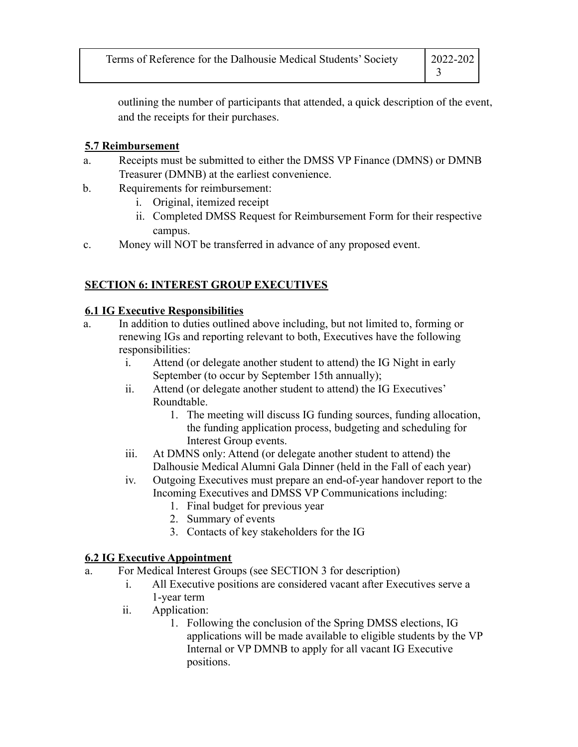| Terms of Reference for the Dalhousie Medical Students' Society | $ 2022 - 202 $ |
|----------------------------------------------------------------|----------------|
|                                                                |                |

outlining the number of participants that attended, a quick description of the event, and the receipts for their purchases.

#### **5.7 Reimbursement**

- a. Receipts must be submitted to either the DMSS VP Finance (DMNS) or DMNB Treasurer (DMNB) at the earliest convenience.
- b. Requirements for reimbursement:
	- i. Original, itemized receipt
	- ii. Completed DMSS Request for Reimbursement Form for their respective campus.
- c. Money will NOT be transferred in advance of any proposed event.

## **SECTION 6: INTEREST GROUP EXECUTIVES**

#### **6.1 IG Executive Responsibilities**

- a. In addition to duties outlined above including, but not limited to, forming or renewing IGs and reporting relevant to both, Executives have the following responsibilities:
	- i. Attend (or delegate another student to attend) the IG Night in early September (to occur by September 15th annually);
	- ii. Attend (or delegate another student to attend) the IG Executives' Roundtable.
		- 1. The meeting will discuss IG funding sources, funding allocation, the funding application process, budgeting and scheduling for Interest Group events.
	- iii. At DMNS only: Attend (or delegate another student to attend) the Dalhousie Medical Alumni Gala Dinner (held in the Fall of each year)
	- iv. Outgoing Executives must prepare an end-of-year handover report to the Incoming Executives and DMSS VP Communications including:
		- 1. Final budget for previous year
		- 2. Summary of events
		- 3. Contacts of key stakeholders for the IG

### **6.2 IG Executive Appointment**

- a. For Medical Interest Groups (see SECTION 3 for description)
	- i. All Executive positions are considered vacant after Executives serve a 1-year term
	- ii. Application:
		- 1. Following the conclusion of the Spring DMSS elections, IG applications will be made available to eligible students by the VP Internal or VP DMNB to apply for all vacant IG Executive positions.